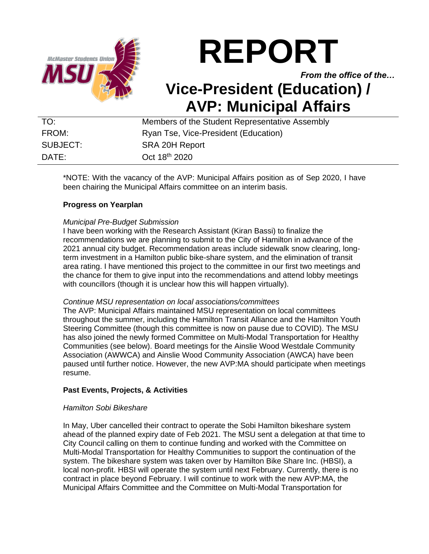

# **REPORT**

*From the office of the…*

# **Vice-President (Education) / AVP: Municipal Affairs**

| TO:      | Members of the Student Representative Assembly |
|----------|------------------------------------------------|
| FROM:    | Ryan Tse, Vice-President (Education)           |
| SUBJECT: | SRA 20H Report                                 |
| DATF:    | Oct 18 <sup>th</sup> 2020                      |

\*NOTE: With the vacancy of the AVP: Municipal Affairs position as of Sep 2020, I have been chairing the Municipal Affairs committee on an interim basis.

# **Progress on Yearplan**

# *Municipal Pre-Budget Submission*

I have been working with the Research Assistant (Kiran Bassi) to finalize the recommendations we are planning to submit to the City of Hamilton in advance of the 2021 annual city budget. Recommendation areas include sidewalk snow clearing, longterm investment in a Hamilton public bike-share system, and the elimination of transit area rating. I have mentioned this project to the committee in our first two meetings and the chance for them to give input into the recommendations and attend lobby meetings with councillors (though it is unclear how this will happen virtually).

# *Continue MSU representation on local associations/committees*

The AVP: Municipal Affairs maintained MSU representation on local committees throughout the summer, including the Hamilton Transit Alliance and the Hamilton Youth Steering Committee (though this committee is now on pause due to COVID). The MSU has also joined the newly formed Committee on Multi-Modal Transportation for Healthy Communities (see below). Board meetings for the Ainslie Wood Westdale Community Association (AWWCA) and Ainslie Wood Community Association (AWCA) have been paused until further notice. However, the new AVP:MA should participate when meetings resume.

# **Past Events, Projects, & Activities**

# *Hamilton Sobi Bikeshare*

In May, Uber cancelled their contract to operate the Sobi Hamilton bikeshare system ahead of the planned expiry date of Feb 2021. The MSU sent a delegation at that time to City Council calling on them to continue funding and worked with the Committee on Multi-Modal Transportation for Healthy Communities to support the continuation of the system. The bikeshare system was taken over by Hamilton Bike Share Inc. (HBSI), a local non-profit. HBSI will operate the system until next February. Currently, there is no contract in place beyond February. I will continue to work with the new AVP:MA, the Municipal Affairs Committee and the Committee on Multi-Modal Transportation for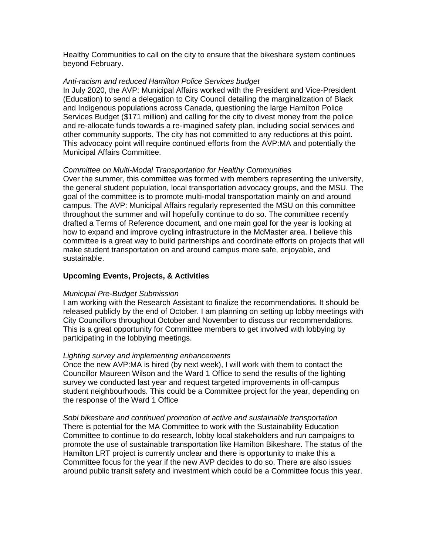Healthy Communities to call on the city to ensure that the bikeshare system continues beyond February.

#### *Anti-racism and reduced Hamilton Police Services budget*

In July 2020, the AVP: Municipal Affairs worked with the President and Vice-President (Education) to send a delegation to City Council detailing the marginalization of Black and Indigenous populations across Canada, questioning the large Hamilton Police Services Budget (\$171 million) and calling for the city to divest money from the police and re-allocate funds towards a re-imagined safety plan, including social services and other community supports. The city has not committed to any reductions at this point. This advocacy point will require continued efforts from the AVP:MA and potentially the Municipal Affairs Committee.

#### *Committee on Multi-Modal Transportation for Healthy Communities*

Over the summer, this committee was formed with members representing the university, the general student population, local transportation advocacy groups, and the MSU. The goal of the committee is to promote multi-modal transportation mainly on and around campus. The AVP: Municipal Affairs regularly represented the MSU on this committee throughout the summer and will hopefully continue to do so. The committee recently drafted a Terms of Reference document, and one main goal for the year is looking at how to expand and improve cycling infrastructure in the McMaster area. I believe this committee is a great way to build partnerships and coordinate efforts on projects that will make student transportation on and around campus more safe, enjoyable, and sustainable.

# **Upcoming Events, Projects, & Activities**

#### *Municipal Pre-Budget Submission*

I am working with the Research Assistant to finalize the recommendations. It should be released publicly by the end of October. I am planning on setting up lobby meetings with City Councillors throughout October and November to discuss our recommendations. This is a great opportunity for Committee members to get involved with lobbying by participating in the lobbying meetings.

#### *Lighting survey and implementing enhancements*

Once the new AVP:MA is hired (by next week), I will work with them to contact the Councillor Maureen Wilson and the Ward 1 Office to send the results of the lighting survey we conducted last year and request targeted improvements in off-campus student neighbourhoods. This could be a Committee project for the year, depending on the response of the Ward 1 Office

*Sobi bikeshare and continued promotion of active and sustainable transportation* There is potential for the MA Committee to work with the Sustainability Education Committee to continue to do research, lobby local stakeholders and run campaigns to promote the use of sustainable transportation like Hamilton Bikeshare. The status of the Hamilton LRT project is currently unclear and there is opportunity to make this a Committee focus for the year if the new AVP decides to do so. There are also issues around public transit safety and investment which could be a Committee focus this year.